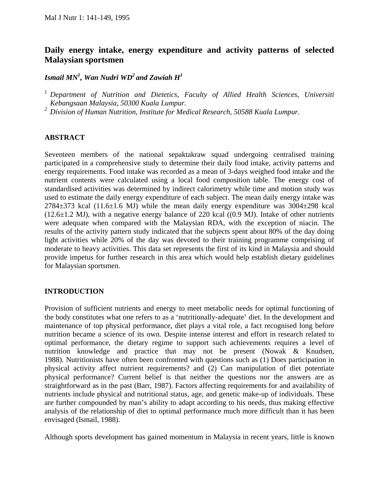# **Daily energy intake, energy expenditure and activity patterns of selected Malaysian sportsmen**

# $\bm{I}$ smail MN $^{\bm{I}}, \ \bm{W}$ an Nudri WD $^{\bm{2}}$  and Zawiah  $\bm{H}^{\bm{I}}$

*1 Department of Nutrition and Dietetics, Faculty of Allied Health Sciences, Universiti Kebangsaan Malaysia, 50300 Kuala Lumpur.* 

*2 Division of Human Nutrition, Institute for Medical Research, 50588 Kuala Lumpur.* 

### **ABSTRACT**

Seventeen members of the national sepaktakraw squad undergoing centralised training participated in a comprehensive study to determine their daily food intake, activity patterns and energy requirements. Food intake was recorded as a mean of 3-days weighed food intake and the nutrient contents were calculated using a local food composition table. The energy cost of standardised activities was determined by indirect calorimetry while time and motion study was used to estimate the daily energy expenditure of each subject. The mean daily energy intake was  $2784\pm373$  kcal (11.6 $\pm$ 1.6 MJ) while the mean daily energy expenditure was  $3004\pm298$  kcal  $(12.6\pm1.2 \text{ MJ})$ , with a negative energy balance of 220 kcal  $((0.9 \text{ MJ})$ . Intake of other nutrients were adequate when compared with the Malaysian RDA, with the exception of niacin. The results of the activity pattern study indicated that the subjects spent about 80% of the day doing light activities while 20% of the day was devoted to their training programme comprising of moderate to heavy activities. This data set represents the first of its kind in Malaysia and should provide impetus for further research in this area which would help establish dietary guidelines for Malaysian sportsmen.

# **INTRODUCTION**

Provision of sufficient nutrients and energy to meet metabolic needs for optimal functioning of the body constitutes what one refers to as a 'nutritionally-adequate' diet. In the development and maintenance of top physical performance, diet plays a vital role, a fact recognised long before nutrition became a science of its own. Despite intense interest and effort in research related to optimal performance, the dietary regime to support such achievements requires a level of nutrition knowledge and practice that may not be present (Nowak & Knudsen, 1988). Nutritionists have often been confronted with questions such as (1) Does participation in physical activity affect nutrient requirements? and (2) Can manipulation of diet potentiate physical performance? Current belief is that neither the questions nor the answers are as straightforward as in the past (Barr, 1987). Factors affecting requirements for and availability of nutrients include physical and nutritional status, age, and genetic make-up of individuals. These are further compounded by man's ability to adapt according to his needs, thus making effective analysis of the relationship of diet to optimal performance much more difficult than it has been envisaged (Ismail, 1988).

Although sports development has gained momentum in Malaysia in recent years, little is known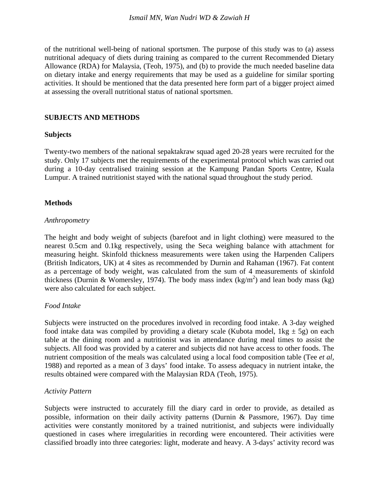of the nutritional well-being of national sportsmen. The purpose of this study was to (a) assess nutritional adequacy of diets during training as compared to the current Recommended Dietary Allowance (RDA) for Malaysia, (Teoh, 1975), and (b) to provide the much needed baseline data on dietary intake and energy requirements that may be used as a guideline for similar sporting activities. It should be mentioned that the data presented here form part of a bigger project aimed at assessing the overall nutritional status of national sportsmen.

### **SUBJECTS AND METHODS**

#### **Subjects**

Twenty-two members of the national sepaktakraw squad aged 20-28 years were recruited for the study. Only 17 subjects met the requirements of the experimental protocol which was carried out during a 10-day centralised training session at the Kampung Pandan Sports Centre, Kuala Lumpur. A trained nutritionist stayed with the national squad throughout the study period.

#### **Methods**

#### *Anthropometry*

The height and body weight of subjects (barefoot and in light clothing) were measured to the nearest 0.5cm and 0.1kg respectively, using the Seca weighing balance with attachment for measuring height. Skinfold thickness measurements were taken using the Harpenden Calipers (British Indicators, UK) at 4 sites as recommended by Durnin and Rahaman (1967). Fat content as a percentage of body weight, was calculated from the sum of 4 measurements of skinfold thickness (Durnin & Womersley, 1974). The body mass index  $(kg/m<sup>2</sup>)$  and lean body mass (kg) were also calculated for each subject.

### *Food Intake*

Subjects were instructed on the procedures involved in recording food intake. A 3-day weighed food intake data was compiled by providing a dietary scale (Kubota model,  $1kg \pm 5g$ ) on each table at the dining room and a nutritionist was in attendance during meal times to assist the subjects. All food was provided by a caterer and subjects did not have access to other foods. The nutrient composition of the meals was calculated using a local food composition table (Tee *et al,*  1988) and reported as a mean of 3 days' food intake. To assess adequacy in nutrient intake, the results obtained were compared with the Malaysian RDA (Teoh, 1975).

#### *Activity Pattern*

Subjects were instructed to accurately fill the diary card in order to provide, as detailed as possible, information on their daily activity patterns (Durnin & Passmore, 1967). Day time activities were constantly monitored by a trained nutritionist, and subjects were individually questioned in cases where irregularities in recording were encountered. Their activities were classified broadly into three categories: light, moderate and heavy. A 3-days' activity record was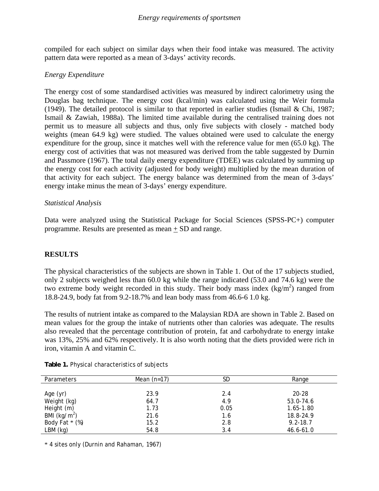compiled for each subject on similar days when their food intake was measured. The activity pattern data were reported as a mean of 3-days' activity records.

### *Energy Expenditure*

The energy cost of some standardised activities was measured by indirect calorimetry using the Douglas bag technique. The energy cost (kcal/min) was calculated using the Weir formula (1949). The detailed protocol is similar to that reported in earlier studies (Ismail & Chi, 1987; Ismail & Zawiah, 1988a). The limited time available during the centralised training does not permit us to measure all subjects and thus, only five subjects with closely - matched body weights (mean 64.9 kg) were studied. The values obtained were used to calculate the energy expenditure for the group, since it matches well with the reference value for men (65.0 kg). The energy cost of activities that was not measured was derived from the table suggested by Durnin and Passmore (1967). The total daily energy expenditure (TDEE) was calculated by summing up the energy cost for each activity (adjusted for body weight) multiplied by the mean duration of that activity for each subject. The energy balance was determined from the mean of 3-days' energy intake minus the mean of 3-days' energy expenditure.

### *Statistical Analysis*

Data were analyzed using the Statistical Package for Social Sciences (SPSS-PC+) computer programme. Results are presented as mean + SD and range.

# **RESULTS**

The physical characteristics of the subjects are shown in Table 1. Out of the 17 subjects studied, only 2 subjects weighed less than 60.0 kg while the range indicated (53.0 and 74.6 kg) were the two extreme body weight recorded in this study. Their body mass index  $(kg/m<sup>2</sup>)$  ranged from 18.8-24.9, body fat from 9.2-18.7% and lean body mass from 46.6-6 1.0 kg.

The results of nutrient intake as compared to the Malaysian RDA are shown in Table 2. Based on mean values for the group the intake of nutrients other than calories was adequate. The results also revealed that the percentage contribution of protein, fat and carbohydrate to energy intake was 13%, 25% and 62% respectively. It is also worth noting that the diets provided were rich in iron, vitamin A and vitamin C.

| <b>Parameters</b> | Mean $(n=17)$ | SD   | Range         |
|-------------------|---------------|------|---------------|
|                   |               |      |               |
| Age (yr)          | 23.9          | 2.4  | $20 - 28$     |
| Weight (kg)       | 64.7          | 4.9  | 53.0-74.6     |
| Height (m)        | 1.73          | 0.05 | 1.65-1.80     |
| BMI $(kg/m^2)$    | 21.6          | 1.6  | 18.8-24.9     |
| Body Fat * (%)    | 15.2          | 2.8  | $9.2 - 18.7$  |
| $LBM$ (kg)        | 54.8          | 3.4  | $46.6 - 61.0$ |

**Table 1.** Physical characteristics of subjects

\* 4 sites only (Durnin and Rahaman, 1967)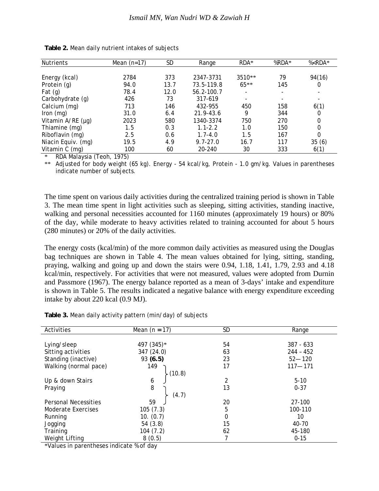| <b>Nutrients</b>   | Mean $(n=17)$ | SD   | Range        | RDA*   | %RDA* | % <rda*< th=""></rda*<> |
|--------------------|---------------|------|--------------|--------|-------|-------------------------|
|                    |               |      |              |        |       |                         |
| Energy (kcal)      | 2784          | 373  | 2347-3731    | 3510** | 79    | 94(16)                  |
| Protein (g)        | 94.0          | 13.7 | 73.5-119.8   | $65**$ | 145   | 0                       |
| Fat $(g)$          | 78.4          | 12.0 | 56.2-100.7   |        |       |                         |
| Carbohydrate (g)   | 426           | 73   | 317-619      |        |       |                         |
| Calcium (mg)       | 713           | 146  | 432-955      | 450    | 158   | 6(1)                    |
| Iron $(mg)$        | 31.0          | 6.4  | 21.9-43.6    | 9      | 344   | 0                       |
| Vitamin A/RE (µg)  | 2023          | 580  | 1340-3374    | 750    | 270   | 0                       |
| Thiamine (mg)      | 1.5           | 0.3  | $1.1 - 2.2$  | 1.0    | 150   | 0                       |
| Riboflavin (mg)    | 2.5           | 0.6  | $1.7 - 4.0$  | 1.5    | 167   | 0                       |
| Niacin Equiv. (mg) | 19.5          | 4.9  | $9.7 - 27.0$ | 16.7   | 117   | 35(6)                   |
| Vitamin C (mg)     | 100           | 60   | 20-240       | 30     | 333   | 6(1)                    |

| Table 2. Mean daily nutrient intakes of subjects |  |  |  |
|--------------------------------------------------|--|--|--|
|--------------------------------------------------|--|--|--|

\* RDA Malaysia (Teoh, 1975)

\*\* Adjusted for body weight (65 kg). Energy - 54 kcal/kg, Protein - 1.0 gm/kg. Values in parentheses indicate number of subjects.

The time spent on various daily activities during the centralized training period is shown in Table 3. The mean time spent in light activities such as sleeping, sitting activities, standing inactive, walking and personal necessities accounted for 1160 minutes (approximately 19 hours) or 80% of the day, while moderate to heavy activities related to training accounted for about 5 hours (280 minutes) or 20% of the daily activities.

The energy costs (kcal/min) of the more common daily activities as measured using the Douglas bag techniques are shown in Table 4. The mean values obtained for lying, sitting, standing, praying, walking and going up and down the stairs were 0.94, 1.18, 1.41, 1.79, 2.93 and 4.18 kcal/min, respectively. For activities that were not measured, values were adopted from Durnin and Passmore (1967). The energy balance reported as a mean of 3-days' intake and expenditure is shown in Table 5. The results indicated a negative balance with energy expenditure exceeding intake by about 220 kcal (0.9 MJ).

| Activities                  | Mean $(n = 17)$ | <b>SD</b>   | Range       |  |
|-----------------------------|-----------------|-------------|-------------|--|
|                             |                 |             |             |  |
| Lying/sleep                 | 497 (345)*      | 54          | $387 - 633$ |  |
| Sitting activities          | 347 (24.0)      | 63          | $244 - 452$ |  |
| Standing (inactive)         | 93(6.5)         | 23          | $52 - 120$  |  |
| Walking (normal pace)       | 149             | 17          | $117 - 171$ |  |
| (10.8)                      |                 |             |             |  |
| Up & down Stairs            | 6               | 2           | $5 - 10$    |  |
| Praying                     | 8               | 13          | $0 - 37$    |  |
|                             | (4.7)           |             |             |  |
| <b>Personal Necessities</b> | 59              | 20          | 27-100      |  |
| Moderate Exercises          | 105(7.3)        | 5           | 100-110     |  |
| Running                     | 10. (0.7)       | $\mathbf 0$ | 10          |  |
| Jogging                     | 54(3.8)         | 15          | 40-70       |  |
| Training                    | 104 (7.2)       | 62          | 45-180      |  |
| Weight Lifting              | 8(0.5)          | 7           | $0 - 15$    |  |

**Table 3.** Mean daily activity pattern (min/day) of subjects

\*Values in parentheses indicate % of day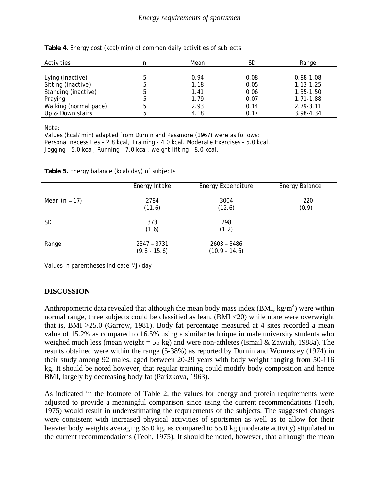| Activities            |   | Mean | SD   | Range         |
|-----------------------|---|------|------|---------------|
|                       |   |      |      |               |
| Lying (inactive)      |   | 0.94 | 0.08 | $0.88 - 1.08$ |
| Sitting (inactive)    |   | 1.18 | 0.05 | $1.13 - 1.25$ |
| Standing (inactive)   | 5 | 1.41 | 0.06 | 1.35-1.50     |
| Praying               | 5 | 1.79 | 0.07 | 1.71-1.88     |
| Walking (normal pace) |   | 2.93 | 0.14 | 2.79-3.11     |
| Up & Down stairs      |   | 4.18 | 0.17 | 3.98-4.34     |

**Table 4.** Energy cost (kcal/min) of common daily activities of subjects

Note:

Values (kcal/min) adapted from Durnin and Passmore (1967) were as follows: Personal necessities - 2.8 kcal, Training - 4.0 kcal. Moderate Exercises - 5.0 kcal. Jogging - 5.0 kcal, Running - 7.0 kcal, weight lifting - 8.0 kcal.

|                 | Energy Intake                 | <b>Energy Expenditure</b>      | Energy Balance  |
|-----------------|-------------------------------|--------------------------------|-----------------|
| Mean $(n = 17)$ | 2784<br>(11.6)                | 3004<br>(12.6)                 | $-220$<br>(0.9) |
| <b>SD</b>       | 373<br>(1.6)                  | 298<br>(1.2)                   |                 |
| Range           | 2347 - 3731<br>$(9.8 - 15.6)$ | 2603 - 3486<br>$(10.9 - 14.6)$ |                 |

**Table 5.** Energy balance (kcal/day) of subjects

Values in parentheses indicate MJ/day

# **DISCUSSION**

Anthropometric data revealed that although the mean body mass index (BMI,  $kg/m<sup>2</sup>$ ) were within normal range, three subjects could be classified as lean, (BMI <20) while none were overweight that is, BMI >25.0 (Garrow, 1981). Body fat percentage measured at 4 sites recorded a mean value of 15.2% as compared to 16.5% using a similar technique in male university students who weighed much less (mean weight = 55 kg) and were non-athletes (Ismail & Zawiah, 1988a). The results obtained were within the range (5-38%) as reported by Durnin and Womersley (1974) in their study among 92 males, aged between 20-29 years with body weight ranging from 50-116 kg. It should be noted however, that regular training could modify body composition and hence BMI, largely by decreasing body fat (Parizkova, 1963).

As indicated in the footnote of Table 2, the values for energy and protein requirements were adjusted to provide a meaningful comparison since using the current recommendations (Teoh, 1975) would result in underestimating the requirements of the subjects. The suggested changes were consistent with increased physical activities of sportsmen as well as to allow for their heavier body weights averaging 65.0 kg, as compared to 55.0 kg (moderate activity) stipulated in the current recommendations (Teoh, 1975). It should be noted, however, that although the mean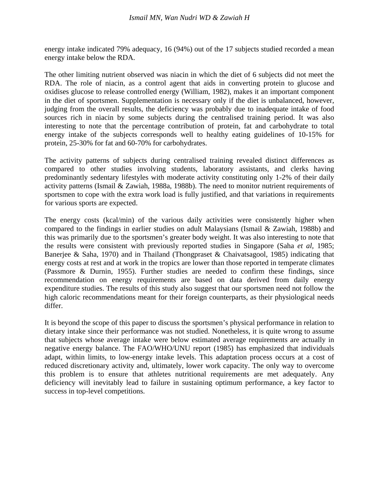energy intake indicated 79% adequacy, 16 (94%) out of the 17 subjects studied recorded a mean energy intake below the RDA.

The other limiting nutrient observed was niacin in which the diet of 6 subjects did not meet the RDA. The role of niacin, as a control agent that aids in converting protein to glucose and oxidises glucose to release controlled energy (William, 1982), makes it an important component in the diet of sportsmen. Supplementation is necessary only if the diet is unbalanced, however, judging from the overall results, the deficiency was probably due to inadequate intake of food sources rich in niacin by some subjects during the centralised training period. It was also interesting to note that the percentage contribution of protein, fat and carbohydrate to total energy intake of the subjects corresponds well to healthy eating guidelines of 10-15% for protein, 25-30% for fat and 60-70% for carbohydrates.

The activity patterns of subjects during centralised training revealed distinct differences as compared to other studies involving students, laboratory assistants, and clerks having predominantly sedentary lifestyles with moderate activity constituting only 1-2% of their daily activity patterns (Ismail & Zawiah, 1988a, 1988b). The need to monitor nutrient requirements of sportsmen to cope with the extra work load is fully justified, and that variations in requirements for various sports are expected.

The energy costs (kcal/min) of the various daily activities were consistently higher when compared to the findings in earlier studies on adult Malaysians (Ismail & Zawiah, 1988b) and this was primarily due to the sportsmen's greater body weight. It was also interesting to note that the results were consistent with previously reported studies in Singapore (Saha *et al,* 1985; Banerjee & Saha, 1970) and in Thailand (Thongpraset & Chaivatsagool, 1985) indicating that energy costs at rest and at work in the tropics are lower than those reported in temperate climates (Passmore & Durnin, 1955). Further studies are needed to confirm these findings, since recommendation on energy requirements are based on data derived from daily energy expenditure studies. The results of this study also suggest that our sportsmen need not follow the high caloric recommendations meant for their foreign counterparts, as their physiological needs differ.

It is beyond the scope of this paper to discuss the sportsmen's physical performance in relation to dietary intake since their performance was not studied. Nonetheless, it is quite wrong to assume that subjects whose average intake were below estimated average requirements are actually in negative energy balance. The FAO/WHO/UNU report (1985) has emphasized that individuals adapt, within limits, to low-energy intake levels. This adaptation process occurs at a cost of reduced discretionary activity and, ultimately, lower work capacity. The only way to overcome this problem is to ensure that athletes nutritional requirements are met adequately. Any deficiency will inevitably lead to failure in sustaining optimum performance, a key factor to success in top-level competitions.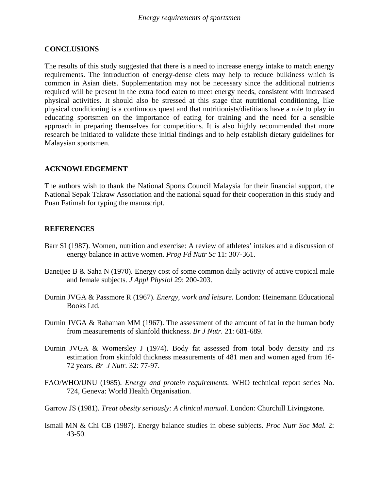### **CONCLUSIONS**

The results of this study suggested that there is a need to increase energy intake to match energy requirements. The introduction of energy-dense diets may help to reduce bulkiness which is common in Asian diets. Supplementation may not be necessary since the additional nutrients required will be present in the extra food eaten to meet energy needs, consistent with increased physical activities. It should also be stressed at this stage that nutritional conditioning, like physical conditioning is a continuous quest and that nutritionists/dietitians have a role to play in educating sportsmen on the importance of eating for training and the need for a sensible approach in preparing themselves for competitions. It is also highly recommended that more research be initiated to validate these initial findings and to help establish dietary guidelines for Malaysian sportsmen.

### **ACKNOWLEDGEMENT**

The authors wish to thank the National Sports Council Malaysia for their financial support, the National Sepak Takraw Association and the national squad for their cooperation in this study and Puan Fatimah for typing the manuscript.

### **REFERENCES**

- Barr SI (1987). Women, nutrition and exercise: A review of athletes' intakes and a discussion of energy balance in active women. *Prog Fd Nutr Sc* 11: 307-361.
- Baneijee B & Saha N (1970). Energy cost of some common daily activity of active tropical male and female subjects. *J Appl Physiol* 29: 200-203.
- Durnin JVGA & Passmore R (1967). *Energy, work and leisure.* London: Heinemann Educational Books Ltd.
- Durnin JVGA & Rahaman MM (1967). The assessment of the amount of fat in the human body from measurements of skinfold thickness. *Br J Nutr.* 21: 681-689.
- Durnin JVGA & Womersley J (1974). Body fat assessed from total body density and its estimation from skinfold thickness measurements of 481 men and women aged from 16- 72 years. *Br J Nutr.* 32: 77-97.
- FAO/WHO/UNU (1985). *Energy and protein requirements.* WHO technical report series No. 724, Geneva: World Health Organisation.
- Garrow JS (1981). *Treat obesity seriously: A clinical manual.* London: Churchill Livingstone.
- Ismail MN & Chi CB (1987). Energy balance studies in obese subjects. *Proc Nutr Soc Mal.* 2: 43-50.